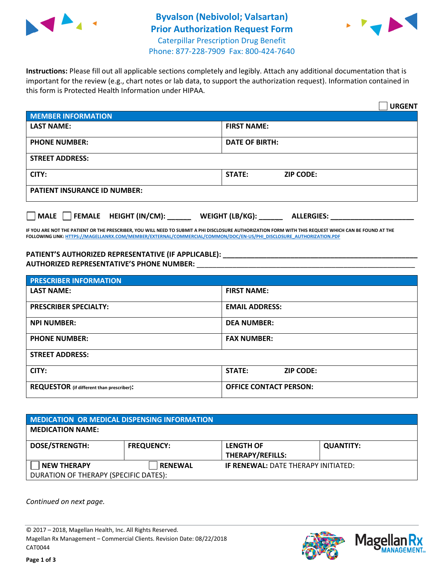



**Instructions:** Please fill out all applicable sections completely and legibly. Attach any additional documentation that is important for the review (e.g., chart notes or lab data, to support the authorization request). Information contained in this form is Protected Health Information under HIPAA.

|                                       | <b>URGENT</b>                        |  |  |  |
|---------------------------------------|--------------------------------------|--|--|--|
| <b>MEMBER INFORMATION</b>             |                                      |  |  |  |
| <b>LAST NAME:</b>                     | <b>FIRST NAME:</b>                   |  |  |  |
| <b>PHONE NUMBER:</b>                  | <b>DATE OF BIRTH:</b>                |  |  |  |
| <b>STREET ADDRESS:</b>                |                                      |  |  |  |
| CITY:                                 | <b>ZIP CODE:</b><br>STATE:           |  |  |  |
| <b>PATIENT INSURANCE ID NUMBER:</b>   |                                      |  |  |  |
| FEMALE HEIGHT (IN/CM):<br><b>MALE</b> | WEIGHT (LB/KG):<br><b>ALLERGIES:</b> |  |  |  |

**IF YOU ARE NOT THE PATIENT OR THE PRESCRIBER, YOU WILL NEED TO SUBMIT A PHI DISCLOSURE AUTHORIZATION FORM WITH THIS REQUEST WHICH CAN BE FOUND AT THE FOLLOWING LINK[: HTTPS://MAGELLANRX.COM/MEMBER/EXTERNAL/COMMERCIAL/COMMON/DOC/EN-US/PHI\\_DISCLOSURE\\_AUTHORIZATION.PDF](https://magellanrx.com/member/external/commercial/common/doc/en-us/PHI_Disclosure_Authorization.pdf)**

**PATIENT'S AUTHORIZED REPRESENTATIVE (IF APPLICABLE): \_\_\_\_\_\_\_\_\_\_\_\_\_\_\_\_\_\_\_\_\_\_\_\_\_\_\_\_\_\_\_\_\_\_\_\_\_\_\_\_\_\_\_\_\_\_\_\_\_ AUTHORIZED REPRESENTATIVE'S PHONE NUMBER:** \_\_\_\_\_\_\_\_\_\_\_\_\_\_\_\_\_\_\_\_\_\_\_\_\_\_\_\_\_\_\_\_\_\_\_\_\_\_\_\_\_\_\_\_\_\_\_\_\_\_\_\_\_\_\_

| <b>PRESCRIBER INFORMATION</b>             |                               |  |  |  |
|-------------------------------------------|-------------------------------|--|--|--|
| <b>LAST NAME:</b>                         | <b>FIRST NAME:</b>            |  |  |  |
| <b>PRESCRIBER SPECIALTY:</b>              | <b>EMAIL ADDRESS:</b>         |  |  |  |
| <b>NPI NUMBER:</b>                        | <b>DEA NUMBER:</b>            |  |  |  |
| <b>PHONE NUMBER:</b>                      | <b>FAX NUMBER:</b>            |  |  |  |
| <b>STREET ADDRESS:</b>                    |                               |  |  |  |
| CITY:                                     | STATE:<br><b>ZIP CODE:</b>    |  |  |  |
| REQUESTOR (if different than prescriber): | <b>OFFICE CONTACT PERSON:</b> |  |  |  |

| <b>MEDICATION OR MEDICAL DISPENSING INFORMATION</b> |                   |                                            |                  |  |  |
|-----------------------------------------------------|-------------------|--------------------------------------------|------------------|--|--|
| <b>MEDICATION NAME:</b>                             |                   |                                            |                  |  |  |
| <b>DOSE/STRENGTH:</b>                               | <b>FREQUENCY:</b> | <b>LENGTH OF</b>                           | <b>QUANTITY:</b> |  |  |
|                                                     |                   | <b>THERAPY/REFILLS:</b>                    |                  |  |  |
| <b>NEW THERAPY</b>                                  | <b>RENEWAL</b>    | <b>IF RENEWAL: DATE THERAPY INITIATED:</b> |                  |  |  |
| DURATION OF THERAPY (SPECIFIC DATES):               |                   |                                            |                  |  |  |

*Continued on next page.*

© 2017 – 2018, Magellan Health, Inc. All Rights Reserved. Magellan Rx Management – Commercial Clients. Revision Date: 08/22/2018 CAT0044



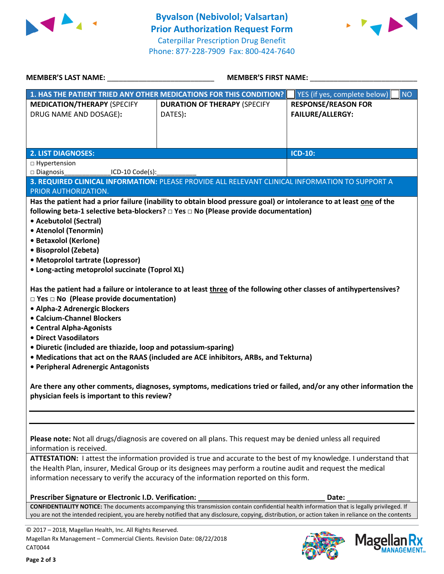



| <b>MEMBER'S LAST NAME:</b>                                                                                                                                                                                                                                                                                                                                             | <b>MEMBER'S FIRST NAME:</b>                                                                                         |                                                       |  |  |
|------------------------------------------------------------------------------------------------------------------------------------------------------------------------------------------------------------------------------------------------------------------------------------------------------------------------------------------------------------------------|---------------------------------------------------------------------------------------------------------------------|-------------------------------------------------------|--|--|
|                                                                                                                                                                                                                                                                                                                                                                        | 1. HAS THE PATIENT TRIED ANY OTHER MEDICATIONS FOR THIS CONDITION?                                                  | YES (if yes, complete below)<br><b>NO</b>             |  |  |
| <b>MEDICATION/THERAPY (SPECIFY</b><br>DRUG NAME AND DOSAGE):                                                                                                                                                                                                                                                                                                           | <b>DURATION OF THERAPY (SPECIFY</b><br>DATES):                                                                      | <b>RESPONSE/REASON FOR</b><br><b>FAILURE/ALLERGY:</b> |  |  |
|                                                                                                                                                                                                                                                                                                                                                                        |                                                                                                                     |                                                       |  |  |
| <b>2. LIST DIAGNOSES:</b>                                                                                                                                                                                                                                                                                                                                              |                                                                                                                     | <b>ICD-10:</b>                                        |  |  |
| □ Hypertension                                                                                                                                                                                                                                                                                                                                                         |                                                                                                                     |                                                       |  |  |
| $\square$ Diagnosis<br>ICD-10 Code(s):                                                                                                                                                                                                                                                                                                                                 |                                                                                                                     |                                                       |  |  |
|                                                                                                                                                                                                                                                                                                                                                                        | 3. REQUIRED CLINICAL INFORMATION: PLEASE PROVIDE ALL RELEVANT CLINICAL INFORMATION TO SUPPORT A                     |                                                       |  |  |
| PRIOR AUTHORIZATION.                                                                                                                                                                                                                                                                                                                                                   |                                                                                                                     |                                                       |  |  |
|                                                                                                                                                                                                                                                                                                                                                                        | Has the patient had a prior failure (inability to obtain blood pressure goal) or intolerance to at least one of the |                                                       |  |  |
|                                                                                                                                                                                                                                                                                                                                                                        | following beta-1 selective beta-blockers? □ Yes □ No (Please provide documentation)                                 |                                                       |  |  |
| • Acebutolol (Sectral)                                                                                                                                                                                                                                                                                                                                                 |                                                                                                                     |                                                       |  |  |
| • Atenolol (Tenormin)                                                                                                                                                                                                                                                                                                                                                  |                                                                                                                     |                                                       |  |  |
| • Betaxolol (Kerlone)<br>· Bisoprolol (Zebeta)                                                                                                                                                                                                                                                                                                                         |                                                                                                                     |                                                       |  |  |
| • Metoprolol tartrate (Lopressor)                                                                                                                                                                                                                                                                                                                                      |                                                                                                                     |                                                       |  |  |
| • Long-acting metoprolol succinate (Toprol XL)                                                                                                                                                                                                                                                                                                                         |                                                                                                                     |                                                       |  |  |
|                                                                                                                                                                                                                                                                                                                                                                        |                                                                                                                     |                                                       |  |  |
| Has the patient had a failure or intolerance to at least three of the following other classes of antihypertensives?<br>$\square$ Yes $\square$ No (Please provide documentation)<br>• Alpha-2 Adrenergic Blockers<br>• Calcium-Channel Blockers<br>• Central Alpha-Agonists<br>• Direct Vasodilators<br>• Diuretic (included are thiazide, loop and potassium-sparing) |                                                                                                                     |                                                       |  |  |
|                                                                                                                                                                                                                                                                                                                                                                        | • Medications that act on the RAAS (included are ACE inhibitors, ARBs, and Tekturna)                                |                                                       |  |  |
| • Peripheral Adrenergic Antagonists                                                                                                                                                                                                                                                                                                                                    |                                                                                                                     |                                                       |  |  |
| Are there any other comments, diagnoses, symptoms, medications tried or failed, and/or any other information the<br>physician feels is important to this review?                                                                                                                                                                                                       |                                                                                                                     |                                                       |  |  |
| Please note: Not all drugs/diagnosis are covered on all plans. This request may be denied unless all required<br>information is received.<br>ATTESTATION: I attest the information provided is true and accurate to the best of my knowledge. I understand that                                                                                                        |                                                                                                                     |                                                       |  |  |
| the Health Plan, insurer, Medical Group or its designees may perform a routine audit and request the medical                                                                                                                                                                                                                                                           |                                                                                                                     |                                                       |  |  |
| information necessary to verify the accuracy of the information reported on this form.                                                                                                                                                                                                                                                                                 |                                                                                                                     |                                                       |  |  |
| Prescriber Signature or Electronic I.D. Verification:                                                                                                                                                                                                                                                                                                                  |                                                                                                                     | Date:                                                 |  |  |
| <b>CONFIDENTIALITY NOTICE:</b> The documents accompanying this transmission contain confidential health information that is legally privileged. If                                                                                                                                                                                                                     |                                                                                                                     |                                                       |  |  |
| you are not the intended recipient, you are hereby notified that any disclosure, copying, distribution, or action taken in reliance on the contents                                                                                                                                                                                                                    |                                                                                                                     |                                                       |  |  |

© 2017 – 2018, Magellan Health, Inc. All Rights Reserved. Magellan Rx Management – Commercial Clients. Revision Date: 08/22/2018 CAT0044